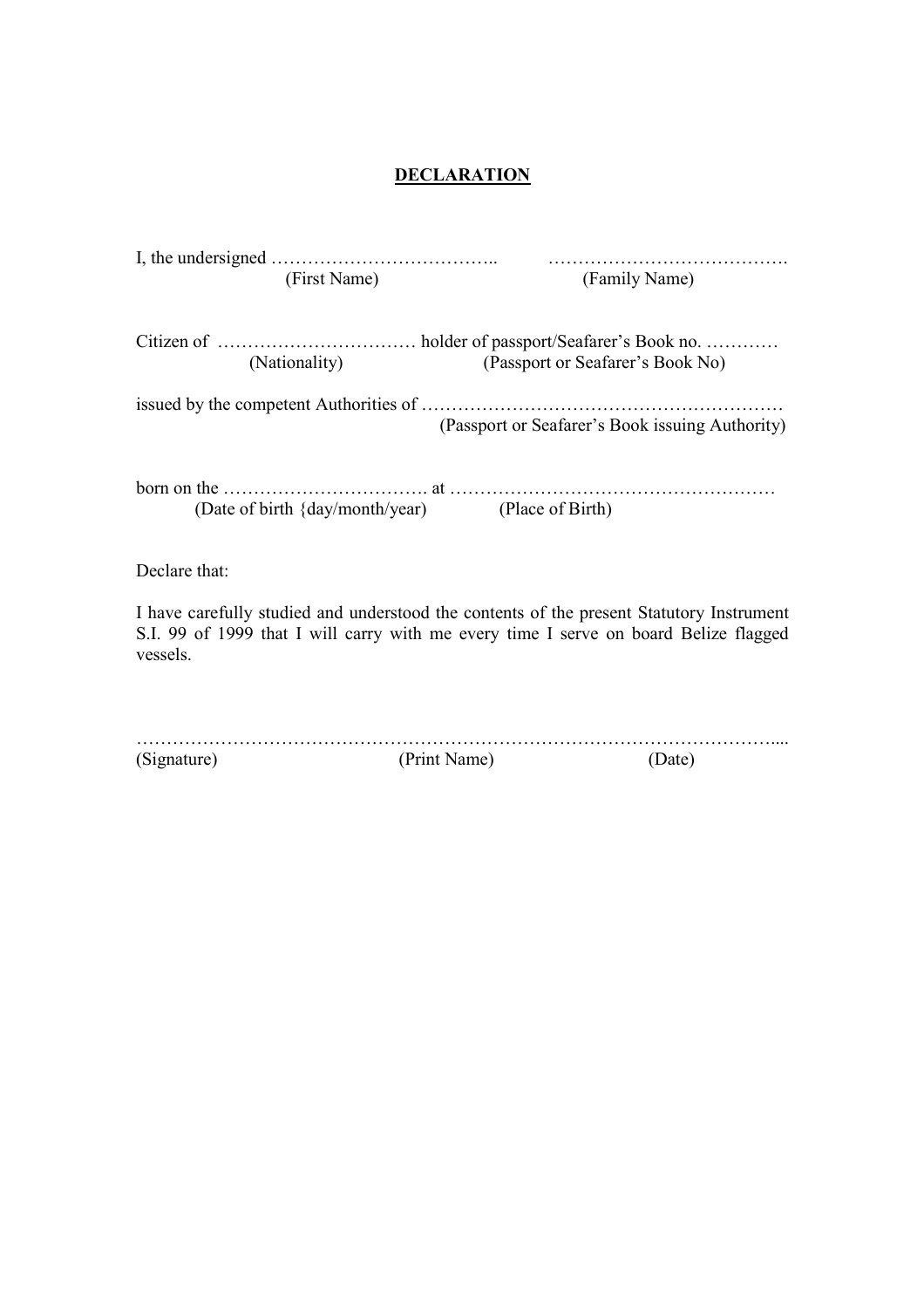#### **DECLARATION**

|               | (First Name)                                     | (Family Name)                                                                            |
|---------------|--------------------------------------------------|------------------------------------------------------------------------------------------|
|               |                                                  |                                                                                          |
|               |                                                  |                                                                                          |
|               | (Nationality)                                    | (Passport or Seafarer's Book No)                                                         |
|               |                                                  |                                                                                          |
|               |                                                  | (Passport or Seafarer's Book issuing Authority)                                          |
|               |                                                  |                                                                                          |
|               |                                                  |                                                                                          |
|               | (Date of birth {day/month/year) (Place of Birth) |                                                                                          |
|               |                                                  |                                                                                          |
| Declare that: |                                                  |                                                                                          |
|               |                                                  | I have carefully studied and understood the contents of the present Statutory Instrument |
| vessels.      |                                                  | S.I. 99 of 1999 that I will carry with me every time I serve on board Belize flagged     |

| (Signature) | (Print Name) |  |
|-------------|--------------|--|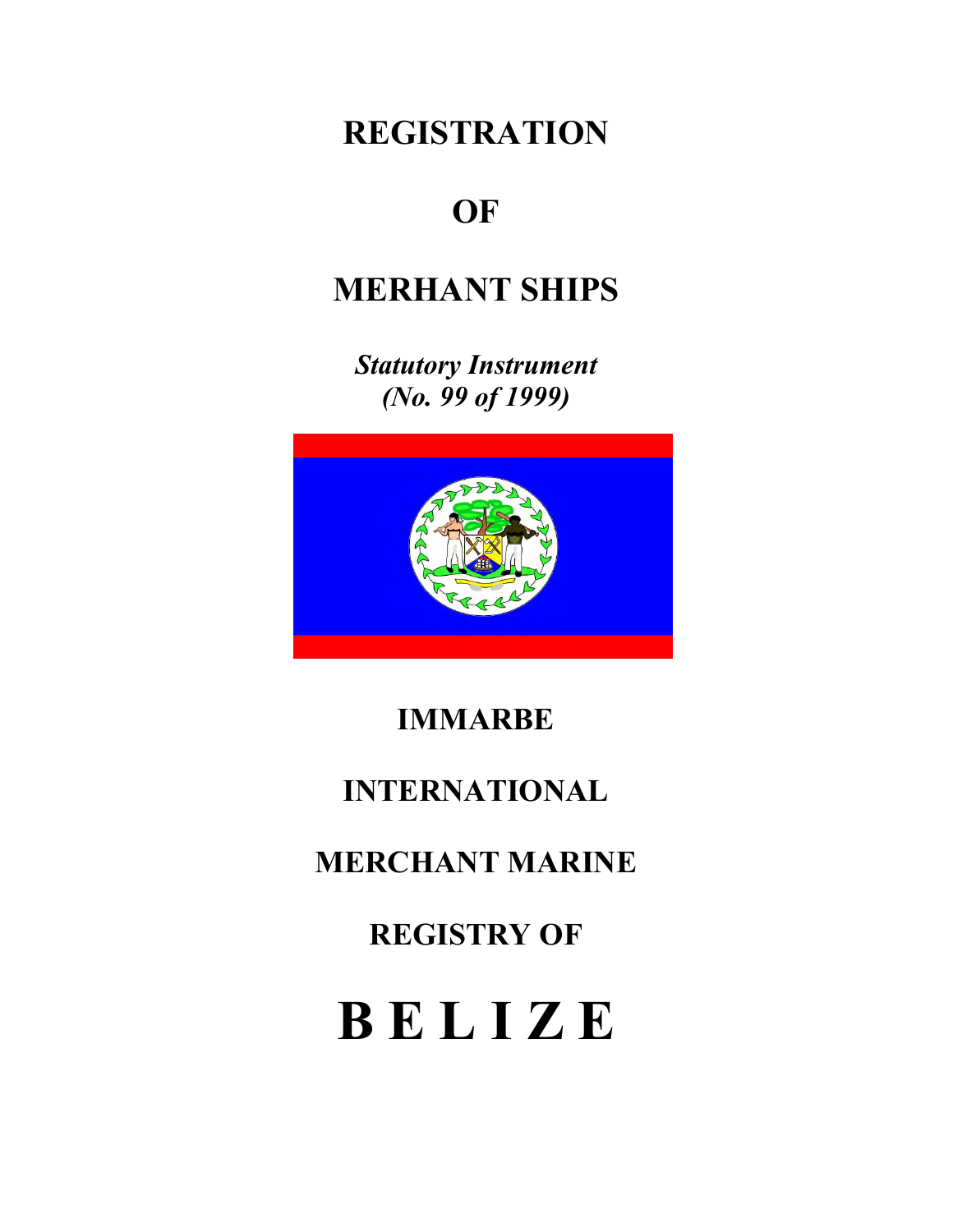# **REGISTRATION**

# **OF**

# **MERHANT SHIPS**

*Statutory Instrument (No. 99 of 1999)* 



## **IMMARBE**

# **INTERNATIONAL**

# **MERCHANT MARINE**

**REGISTRY OF** 

# **B E L I Z E**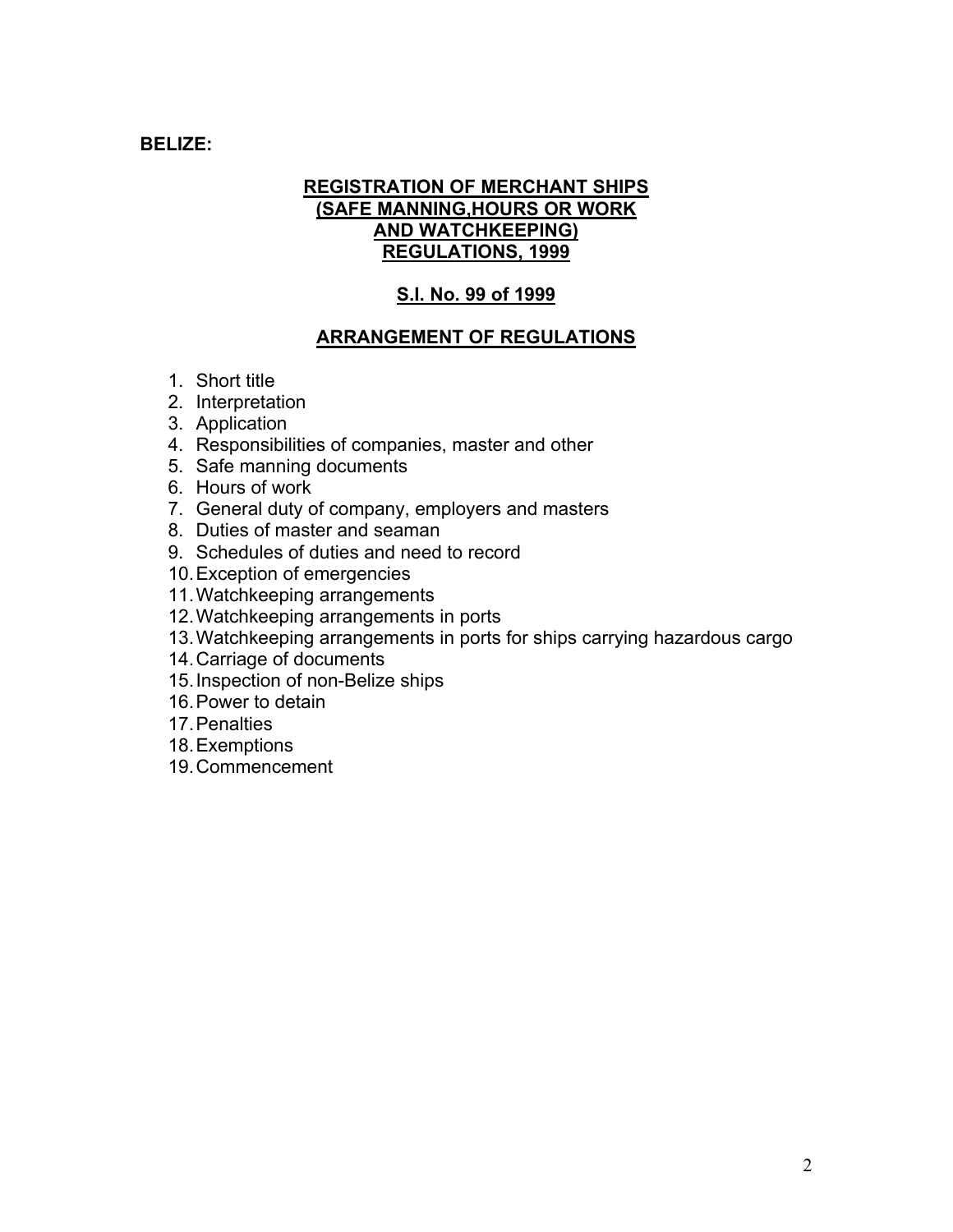#### **BELIZE:**

#### **REGISTRATION OF MERCHANT SHIPS (SAFE MANNING,HOURS OR WORK AND WATCHKEEPING) REGULATIONS, 1999**

#### **S.I. No. 99 of 1999**

#### **ARRANGEMENT OF REGULATIONS**

- 1. Short title
- 2. Interpretation
- 3. Application
- 4. Responsibilities of companies, master and other
- 5. Safe manning documents
- 6. Hours of work
- 7. General duty of company, employers and masters
- 8. Duties of master and seaman
- 9. Schedules of duties and need to record
- 10. Exception of emergencies
- 11. Watchkeeping arrangements
- 12. Watchkeeping arrangements in ports
- 13. Watchkeeping arrangements in ports for ships carrying hazardous cargo
- 14. Carriage of documents
- 15. Inspection of non-Belize ships
- 16. Power to detain
- 17. Penalties
- 18. Exemptions
- 19. Commencement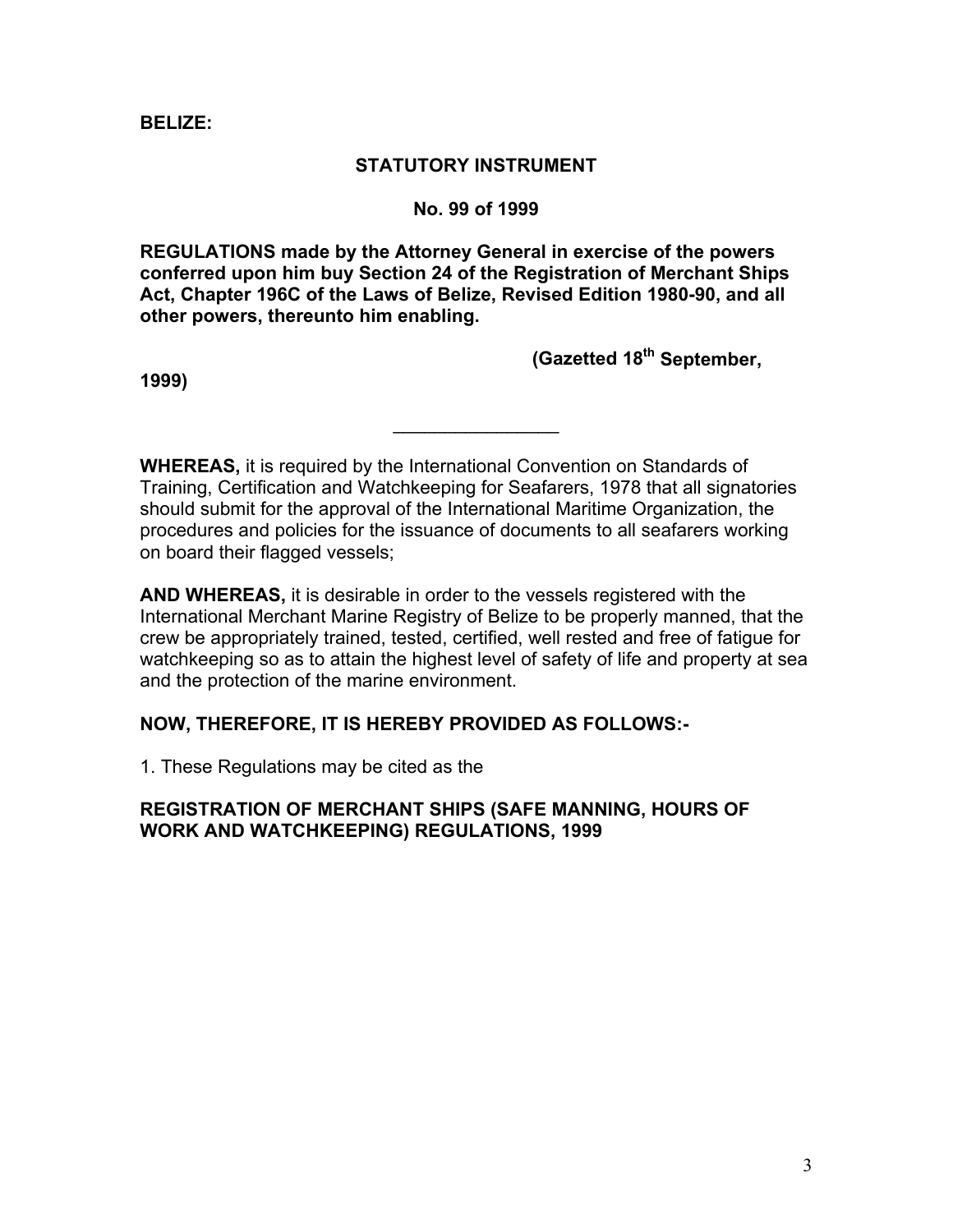#### **BELIZE:**

#### **STATUTORY INSTRUMENT**

#### **No. 99 of 1999**

**EGULATIONS made by the Attorney General in exercise of the powers R conferred upon him buy Section 24 of the Registration of Merchant Ships Act, Chapter 196C of the Laws of Belize, Revised Edition 1980-90, and all other powers, thereunto him enabling.** 

**(Gazetted 18th September,** 

**1999)** 

**HEREAS,** it is required by the International Convention on Standards of **W** Training, Certification and Watchkeeping for Seafarers, 1978 that all signatories should submit for the approval of the International Maritime Organization, the procedures and policies for the issuance of documents to all seafarers working on board their flagged vessels;

 $\frac{1}{2}$  ,  $\frac{1}{2}$  ,  $\frac{1}{2}$  ,  $\frac{1}{2}$  ,  $\frac{1}{2}$  ,  $\frac{1}{2}$  ,  $\frac{1}{2}$  ,  $\frac{1}{2}$  ,  $\frac{1}{2}$  ,  $\frac{1}{2}$ 

**ND WHEREAS,** it is desirable in order to the vessels registered with the **A** International Merchant Marine Registry of Belize to be properly manned, that the crew be appropriately trained, tested, certified, well rested and free of fatigue for watchkeeping so as to attain the highest level of safety of life and property at sea and the protection of the marine environment.

#### **OW, THEREFORE, IT IS HEREBY PROVIDED AS FOLLOWS:- N**

. These Regulations may be cited as the 1

#### **EGISTRATION OF MERCHANT SHIPS (SAFE MANNING, HOURS OF R WORK AND WATCHKEEPING) REGULATIONS, 1999**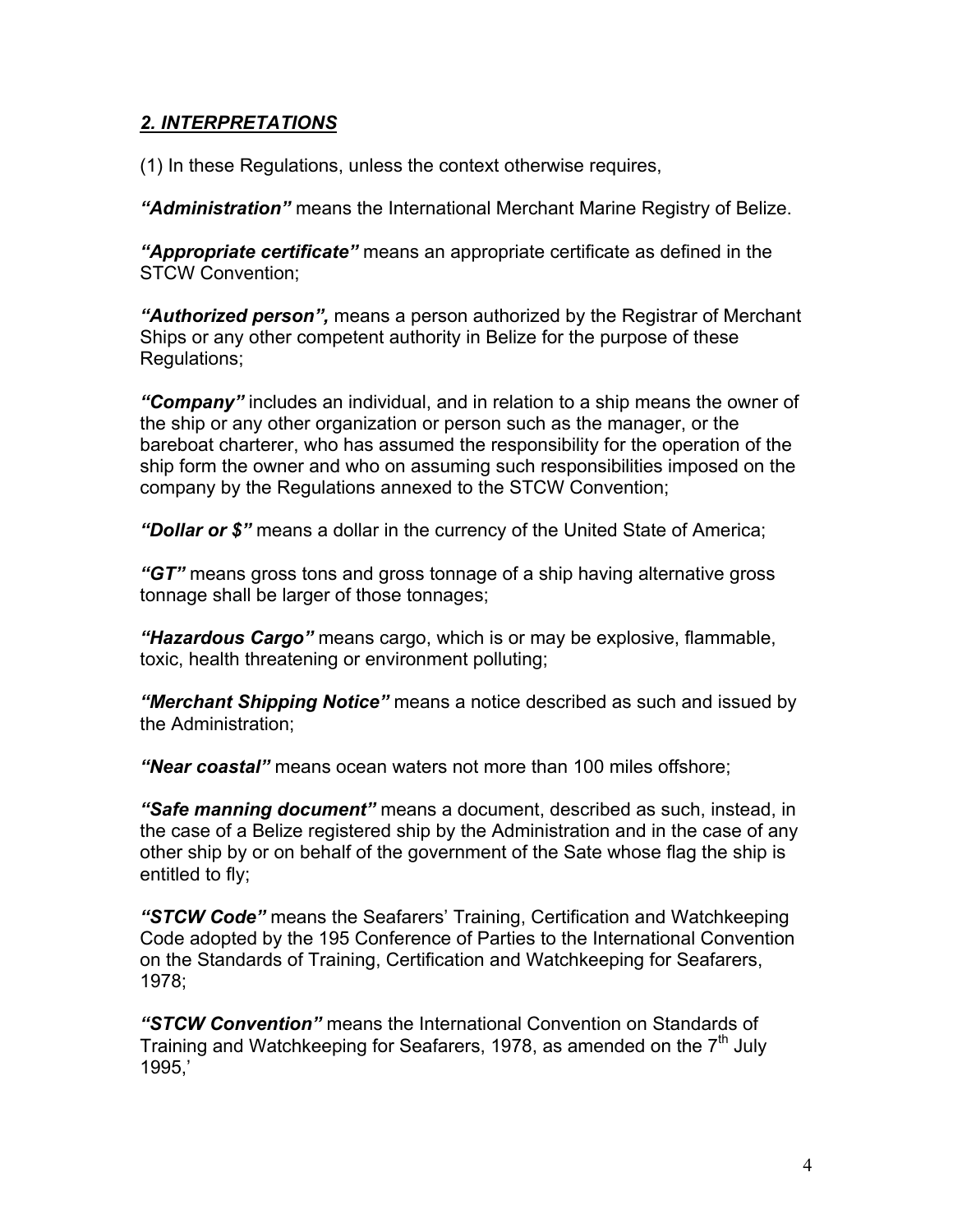#### *2. INTERPRETATIONS*

(1) In these Regulations, unless the context otherwise requires,

*"Administration"* means the International Merchant Marine Registry of Belize.

*"Appropriate certificate"* means an appropriate certificate as defined in the STCW Convention;

*"Authorized person",* means a person authorized by the Registrar of Merchant Ships or any other competent authority in Belize for the purpose of these Regulations;

*"Company"* includes an individual, and in relation to a ship means the owner of the ship or any other organization or person such as the manager, or the bareboat charterer, who has assumed the responsibility for the operation of the ship form the owner and who on assuming such responsibilities imposed on the company by the Regulations annexed to the STCW Convention;

*"Dollar or \$"* means a dollar in the currency of the United State of America;

*"GT"* means gross tons and gross tonnage of a ship having alternative gross tonnage shall be larger of those tonnages;

*"Hazardous Cargo"* means cargo, which is or may be explosive, flammable, toxic, health threatening or environment polluting;

*"Merchant Shipping Notice"* means a notice described as such and issued by the Administration;

*"Near coastal"* means ocean waters not more than 100 miles offshore;

*"Safe manning document"* means a document, described as such, instead, in the case of a Belize registered ship by the Administration and in the case of any other ship by or on behalf of the government of the Sate whose flag the ship is entitled to fly;

*"STCW Code"* means the Seafarers' Training, Certification and Watchkeeping Code adopted by the 195 Conference of Parties to the International Convention on the Standards of Training, Certification and Watchkeeping for Seafarers, 1978;

*"STCW Convention"* means the International Convention on Standards of Training and Watchkeeping for Seafarers, 1978, as amended on the  $7<sup>th</sup>$  July 1995,'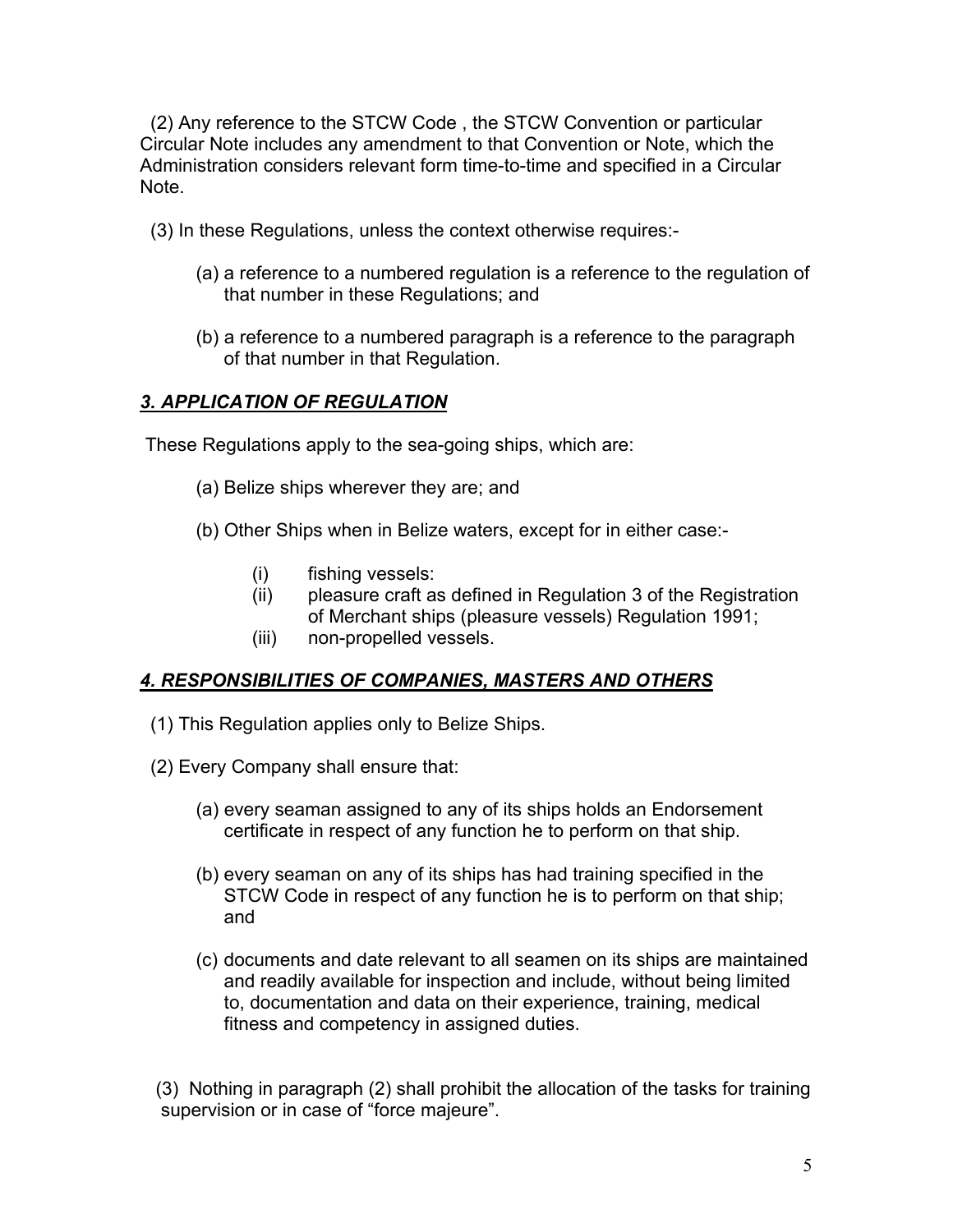(2) Any reference to the STCW Code , the STCW Convention or particular Circular Note includes any amendment to that Convention or Note, which the Administration considers relevant form time-to-time and specified in a Circular Note.

- (3) In these Regulations, unless the context otherwise requires:-
	- (a) a reference to a numbered regulation is a reference to the regulation of that number in these Regulations; and
	- (b) a reference to a numbered paragraph is a reference to the paragraph of that number in that Regulation.

## *3. APPLICATION OF REGULATION*

These Regulations apply to the sea-going ships, which are:

- (a) Belize ships wherever they are; and
- (b) Other Ships when in Belize waters, except for in either case:-
	- (i) fishing vessels:
	- (ii) pleasure craft as defined in Regulation 3 of the Registration of Merchant ships (pleasure vessels) Regulation 1991;
	- (iii) non-propelled vessels.

#### *4. RESPONSIBILITIES OF COMPANIES, MASTERS AND OTHERS*

- (1) This Regulation applies only to Belize Ships.
- (2) Every Company shall ensure that:
	- (a) every seaman assigned to any of its ships holds an Endorsement certificate in respect of any function he to perform on that ship.
	- (b) every seaman on any of its ships has had training specified in the STCW Code in respect of any function he is to perform on that ship; and
	- (c) documents and date relevant to all seamen on its ships are maintained and readily available for inspection and include, without being limited to, documentation and data on their experience, training, medical fitness and competency in assigned duties.

 (3) Nothing in paragraph (2) shall prohibit the allocation of the tasks for training supervision or in case of "force majeure".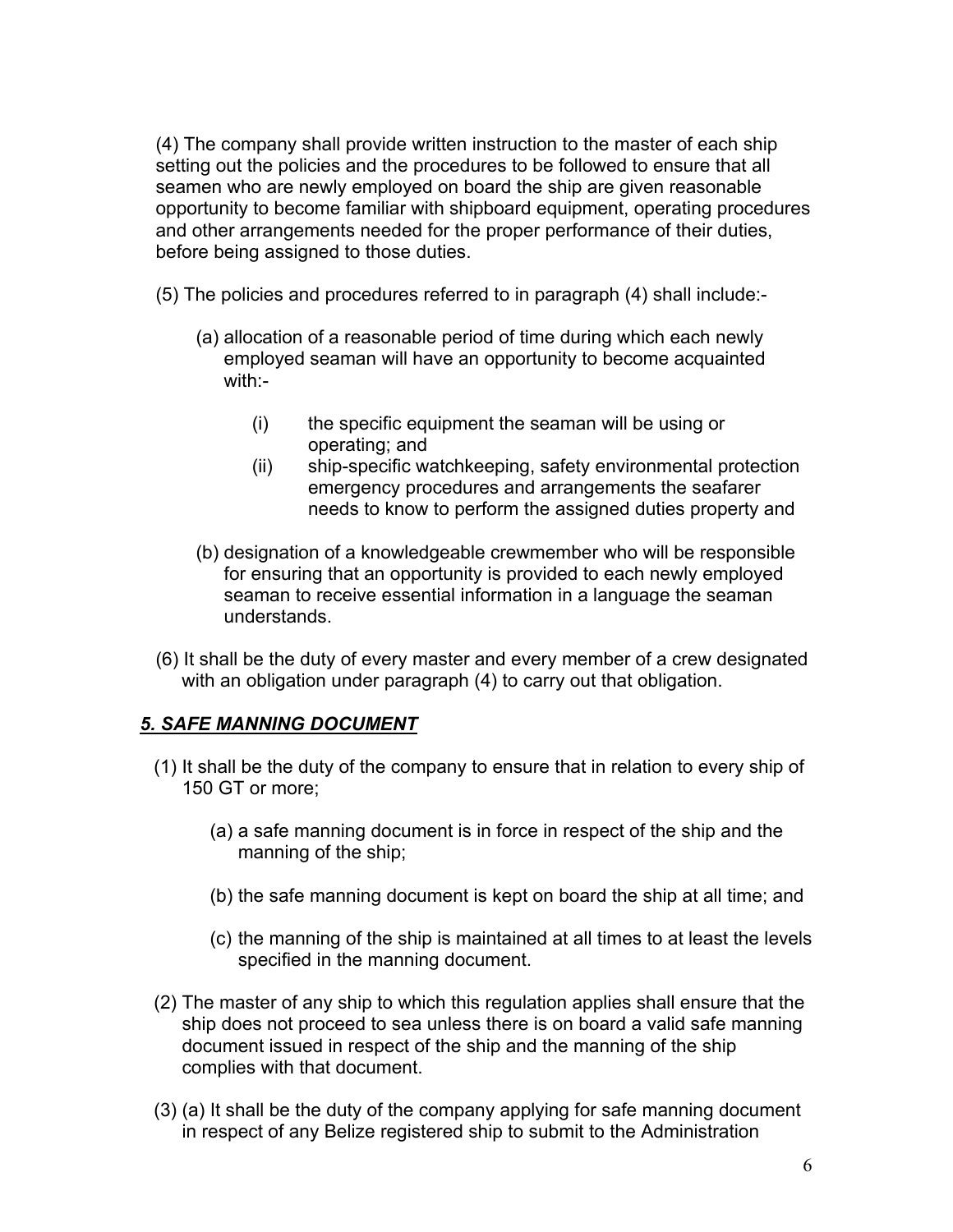(4) The company shall provide written instruction to the master of each ship setting out the policies and the procedures to be followed to ensure that all seamen who are newly employed on board the ship are given reasonable opportunity to become familiar with shipboard equipment, operating procedures and other arrangements needed for the proper performance of their duties, before being assigned to those duties.

(5) The policies and procedures referred to in paragraph (4) shall include:-

- (a) allocation of a reasonable period of time during which each newly employed seaman will have an opportunity to become acquainted with:-
	- (i) the specific equipment the seaman will be using or operating; and
	- (ii) ship-specific watchkeeping, safety environmental protection emergency procedures and arrangements the seafarer needs to know to perform the assigned duties property and
- (b) designation of a knowledgeable crewmember who will be responsible for ensuring that an opportunity is provided to each newly employed seaman to receive essential information in a language the seaman understands.
- (6) It shall be the duty of every master and every member of a crew designated with an obligation under paragraph (4) to carry out that obligation.

#### *5. SAFE MANNING DOCUMENT*

- (1) It shall be the duty of the company to ensure that in relation to every ship of 150 GT or more;
	- (a) a safe manning document is in force in respect of the ship and the manning of the ship;
	- (b) the safe manning document is kept on board the ship at all time; and
	- (c) the manning of the ship is maintained at all times to at least the levels specified in the manning document.
- (2) The master of any ship to which this regulation applies shall ensure that the ship does not proceed to sea unless there is on board a valid safe manning document issued in respect of the ship and the manning of the ship complies with that document.
- (3) (a) It shall be the duty of the company applying for safe manning document in respect of any Belize registered ship to submit to the Administration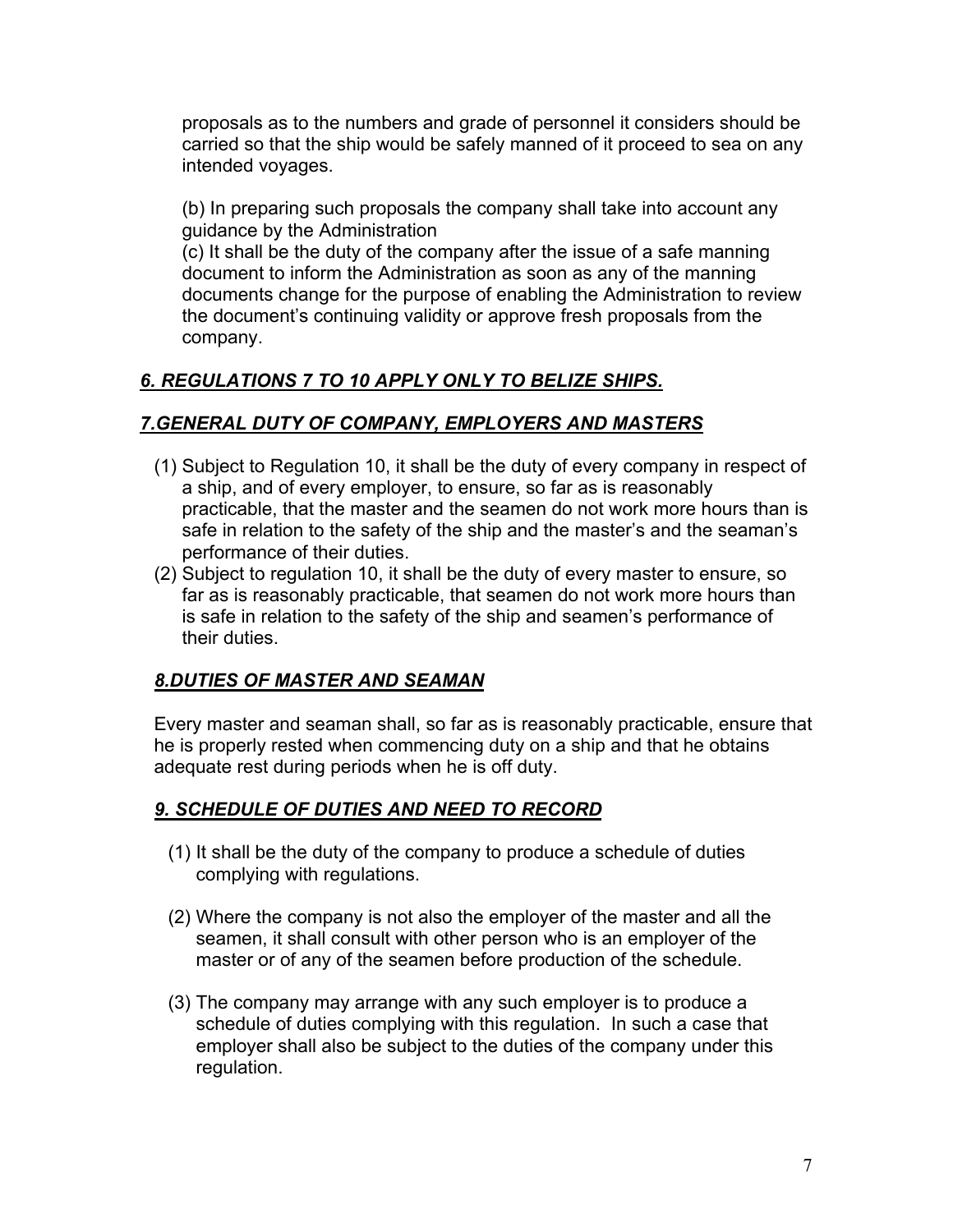proposals as to the numbers and grade of personnel it considers should be carried so that the ship would be safely manned of it proceed to sea on any intended voyages.

(b) In preparing such proposals the company shall take into account any guidance by the Administration

(c) It shall be the duty of the company after the issue of a safe manning document to inform the Administration as soon as any of the manning documents change for the purpose of enabling the Administration to review the document's continuing validity or approve fresh proposals from the company.

## *6. REGULATIONS 7 TO 10 APPLY ONLY TO BELIZE SHIPS.*

#### *7.GENERAL DUTY OF COMPANY, EMPLOYERS AND MASTERS*

- (1) Subject to Regulation 10, it shall be the duty of every company in respect of a ship, and of every employer, to ensure, so far as is reasonably practicable, that the master and the seamen do not work more hours than is safe in relation to the safety of the ship and the master's and the seaman's performance of their duties.
- (2) Subject to regulation 10, it shall be the duty of every master to ensure, so far as is reasonably practicable, that seamen do not work more hours than is safe in relation to the safety of the ship and seamen's performance of their duties.

#### *8.DUTIES OF MASTER AND SEAMAN*

Every master and seaman shall, so far as is reasonably practicable, ensure that he is properly rested when commencing duty on a ship and that he obtains adequate rest during periods when he is off duty.

#### *9. SCHEDULE OF DUTIES AND NEED TO RECORD*

- (1) It shall be the duty of the company to produce a schedule of duties complying with regulations.
- (2) Where the company is not also the employer of the master and all the seamen, it shall consult with other person who is an employer of the master or of any of the seamen before production of the schedule.
- (3) The company may arrange with any such employer is to produce a schedule of duties complying with this regulation. In such a case that employer shall also be subject to the duties of the company under this regulation.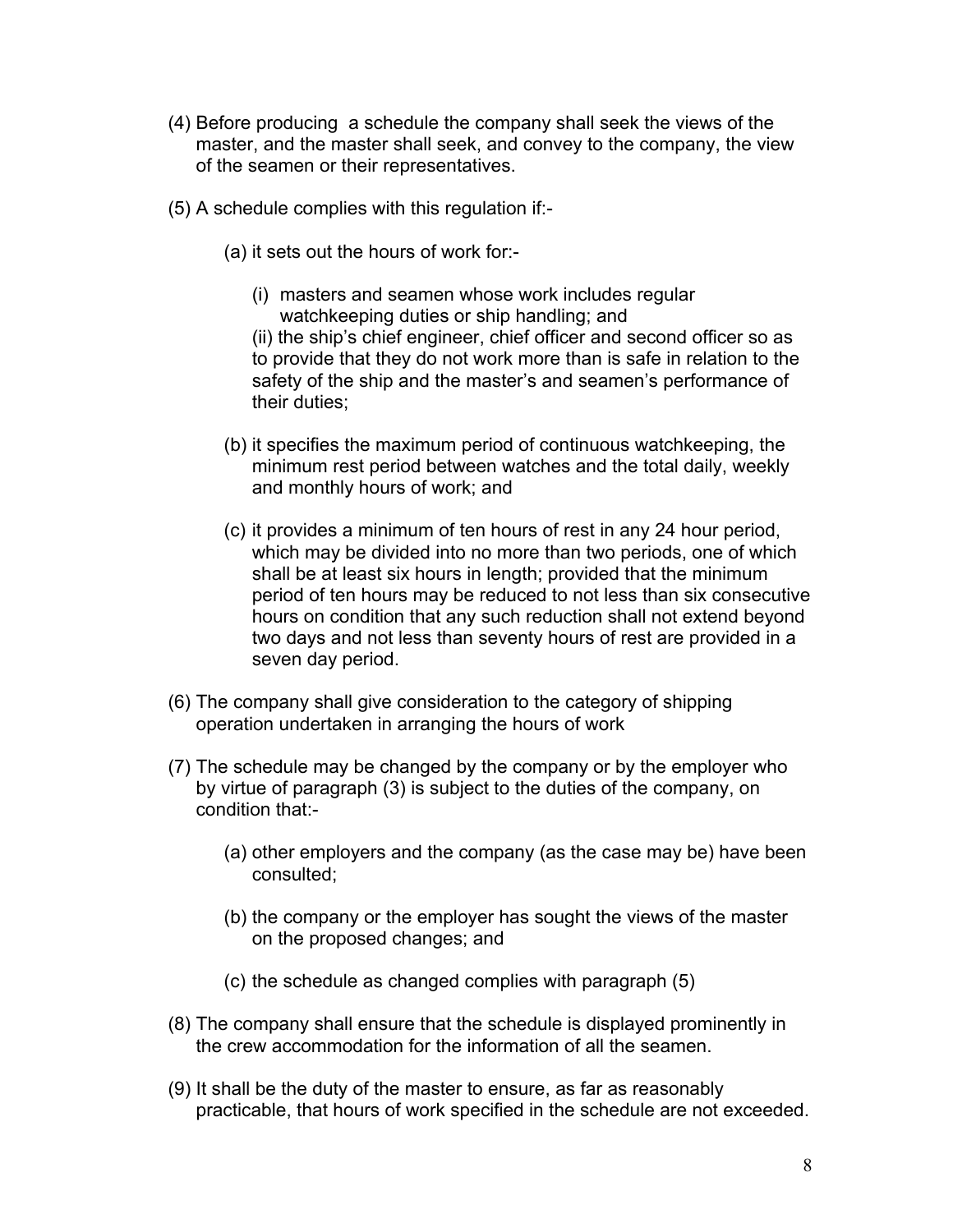- (4) Before producing a schedule the company shall seek the views of the master, and the master shall seek, and convey to the company, the view of the seamen or their representatives.
- (5) A schedule complies with this regulation if:-
	- (a) it sets out the hours of work for:-
		- (i) masters and seamen whose work includes regular watchkeeping duties or ship handling; and (ii) the ship's chief engineer, chief officer and second officer so as to provide that they do not work more than is safe in relation to the safety of the ship and the master's and seamen's performance of their duties;
	- (b) it specifies the maximum period of continuous watchkeeping, the minimum rest period between watches and the total daily, weekly and monthly hours of work; and
	- (c) it provides a minimum of ten hours of rest in any 24 hour period, which may be divided into no more than two periods, one of which shall be at least six hours in length; provided that the minimum period of ten hours may be reduced to not less than six consecutive hours on condition that any such reduction shall not extend beyond two days and not less than seventy hours of rest are provided in a seven day period.
- (6) The company shall give consideration to the category of shipping operation undertaken in arranging the hours of work
- (7) The schedule may be changed by the company or by the employer who by virtue of paragraph (3) is subject to the duties of the company, on condition that:-
	- (a) other employers and the company (as the case may be) have been consulted;
	- (b) the company or the employer has sought the views of the master on the proposed changes; and
	- (c) the schedule as changed complies with paragraph (5)
- (8) The company shall ensure that the schedule is displayed prominently in the crew accommodation for the information of all the seamen.
- (9) It shall be the duty of the master to ensure, as far as reasonably practicable, that hours of work specified in the schedule are not exceeded.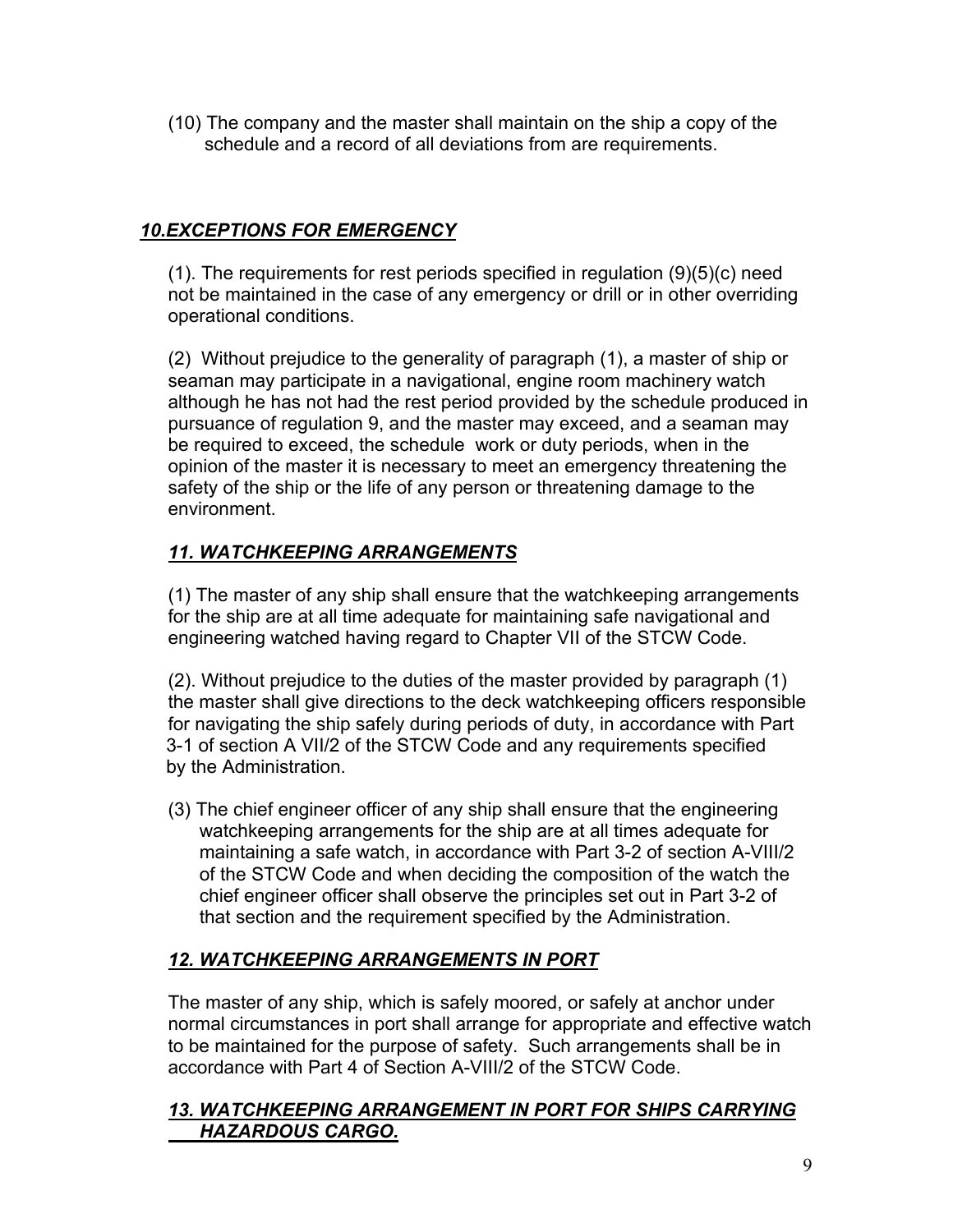(10) The company and the master shall maintain on the ship a copy of the schedule and a record of all deviations from are requirements.

## *10.EXCEPTIONS FOR EMERGENCY*

(1). The requirements for rest periods specified in regulation (9)(5)(c) need not be maintained in the case of any emergency or drill or in other overriding operational conditions.

(2) Without prejudice to the generality of paragraph (1), a master of ship or seaman may participate in a navigational, engine room machinery watch although he has not had the rest period provided by the schedule produced in pursuance of regulation 9, and the master may exceed, and a seaman may be required to exceed, the schedule work or duty periods, when in the opinion of the master it is necessary to meet an emergency threatening the safety of the ship or the life of any person or threatening damage to the environment.

## *11. WATCHKEEPING ARRANGEMENTS*

(1) The master of any ship shall ensure that the watchkeeping arrangements for the ship are at all time adequate for maintaining safe navigational and engineering watched having regard to Chapter VII of the STCW Code.

(2). Without prejudice to the duties of the master provided by paragraph (1) the master shall give directions to the deck watchkeeping officers responsible for navigating the ship safely during periods of duty, in accordance with Part 3-1 of section A VII/2 of the STCW Code and any requirements specified by the Administration.

(3) The chief engineer officer of any ship shall ensure that the engineering watchkeeping arrangements for the ship are at all times adequate for maintaining a safe watch, in accordance with Part 3-2 of section A-VIII/2 of the STCW Code and when deciding the composition of the watch the chief engineer officer shall observe the principles set out in Part 3-2 of that section and the requirement specified by the Administration.

## *12. WATCHKEEPING ARRANGEMENTS IN PORT*

The master of any ship, which is safely moored, or safely at anchor under normal circumstances in port shall arrange for appropriate and effective watch to be maintained for the purpose of safety. Such arrangements shall be in accordance with Part 4 of Section A-VIII/2 of the STCW Code.

## *13. WATCHKEEPING ARRANGEMENT IN PORT FOR SHIPS CARRYING HAZARDOUS CARGO.*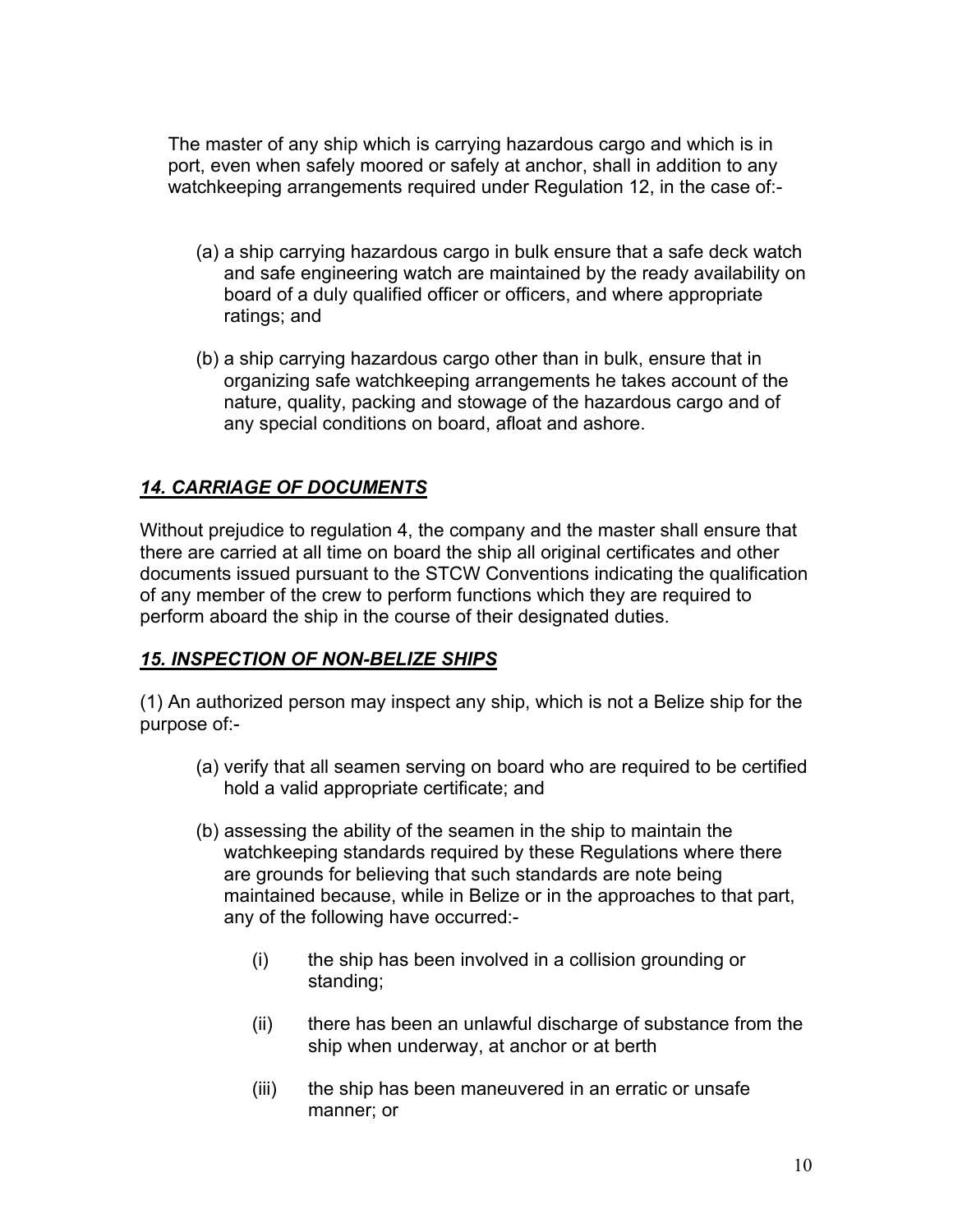The master of any ship which is carrying hazardous cargo and which is in port, even when safely moored or safely at anchor, shall in addition to any watchkeeping arrangements required under Regulation 12, in the case of:-

- (a) a ship carrying hazardous cargo in bulk ensure that a safe deck watch and safe engineering watch are maintained by the ready availability on board of a duly qualified officer or officers, and where appropriate ratings; and
- (b) a ship carrying hazardous cargo other than in bulk, ensure that in organizing safe watchkeeping arrangements he takes account of the nature, quality, packing and stowage of the hazardous cargo and of any special conditions on board, afloat and ashore.

## *14. CARRIAGE OF DOCUMENTS*

Without prejudice to regulation 4, the company and the master shall ensure that there are carried at all time on board the ship all original certificates and other documents issued pursuant to the STCW Conventions indicating the qualification of any member of the crew to perform functions which they are required to perform aboard the ship in the course of their designated duties.

#### *15. INSPECTION OF NON-BELIZE SHIPS*

(1) An authorized person may inspect any ship, which is not a Belize ship for the purpose of:-

- (a) verify that all seamen serving on board who are required to be certified hold a valid appropriate certificate; and
- (b) assessing the ability of the seamen in the ship to maintain the watchkeeping standards required by these Regulations where there are grounds for believing that such standards are note being maintained because, while in Belize or in the approaches to that part, any of the following have occurred:-
	- (i) the ship has been involved in a collision grounding or standing;
	- (ii) there has been an unlawful discharge of substance from the ship when underway, at anchor or at berth
	- (iii) the ship has been maneuvered in an erratic or unsafe manner; or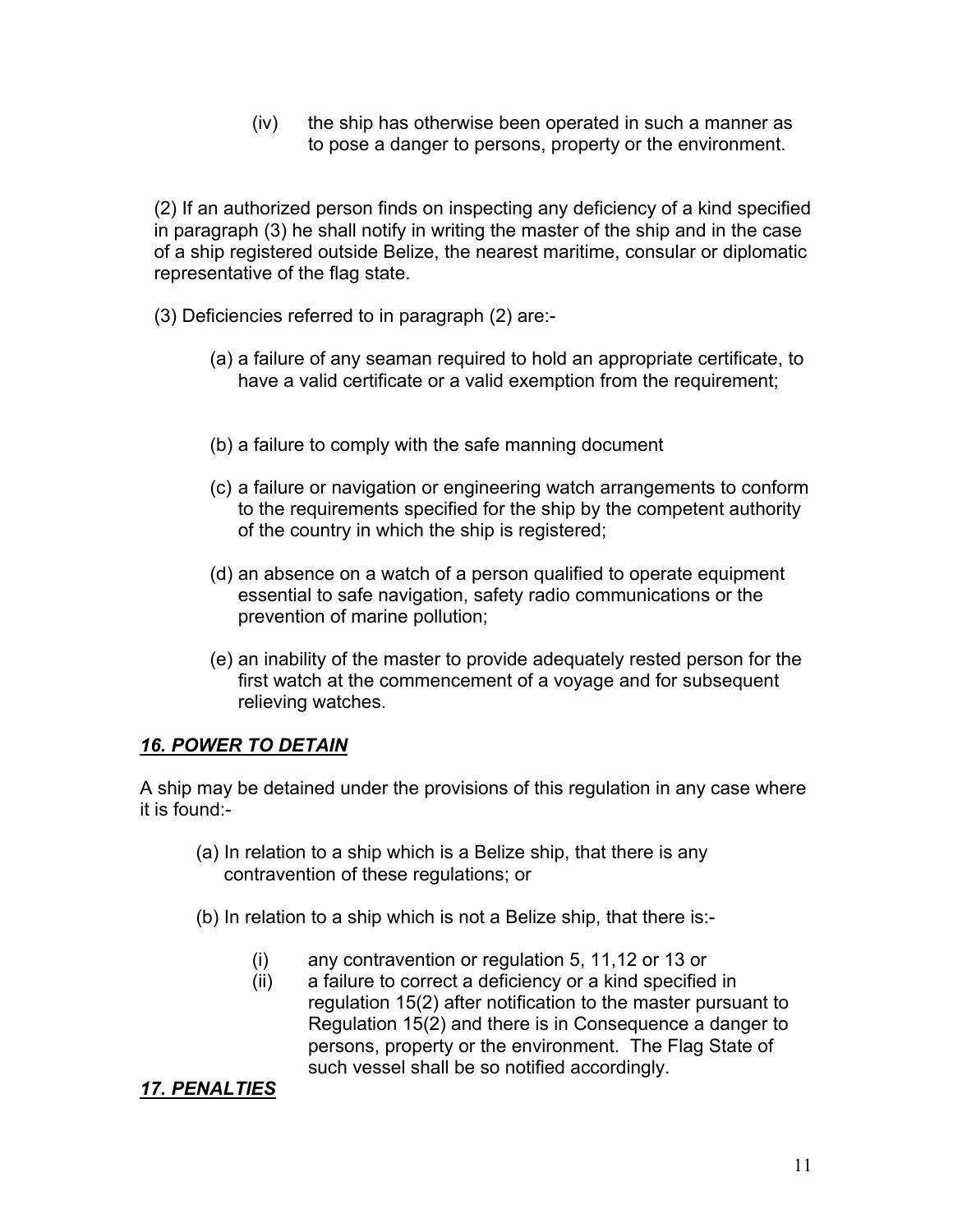(iv) the ship has otherwise been operated in such a manner as to pose a danger to persons, property or the environment.

(2) If an authorized person finds on inspecting any deficiency of a kind specified in paragraph (3) he shall notify in writing the master of the ship and in the case of a ship registered outside Belize, the nearest maritime, consular or diplomatic representative of the flag state.

(3) Deficiencies referred to in paragraph (2) are:-

- (a) a failure of any seaman required to hold an appropriate certificate, to have a valid certificate or a valid exemption from the requirement;
- (b) a failure to comply with the safe manning document
- (c) a failure or navigation or engineering watch arrangements to conform to the requirements specified for the ship by the competent authority of the country in which the ship is registered;
- (d) an absence on a watch of a person qualified to operate equipment essential to safe navigation, safety radio communications or the prevention of marine pollution;
- (e) an inability of the master to provide adequately rested person for the first watch at the commencement of a voyage and for subsequent relieving watches.

#### *16. POWER TO DETAIN*

A ship may be detained under the provisions of this regulation in any case where it is found:-

- (a) In relation to a ship which is a Belize ship, that there is any contravention of these regulations; or
- (b) In relation to a ship which is not a Belize ship, that there is:-
	- (i) any contravention or regulation 5, 11,12 or 13 or
	- (ii) a failure to correct a deficiency or a kind specified in regulation 15(2) after notification to the master pursuant to Regulation 15(2) and there is in Consequence a danger to persons, property or the environment. The Flag State of such vessel shall be so notified accordingly.

#### *17. PENALTIES*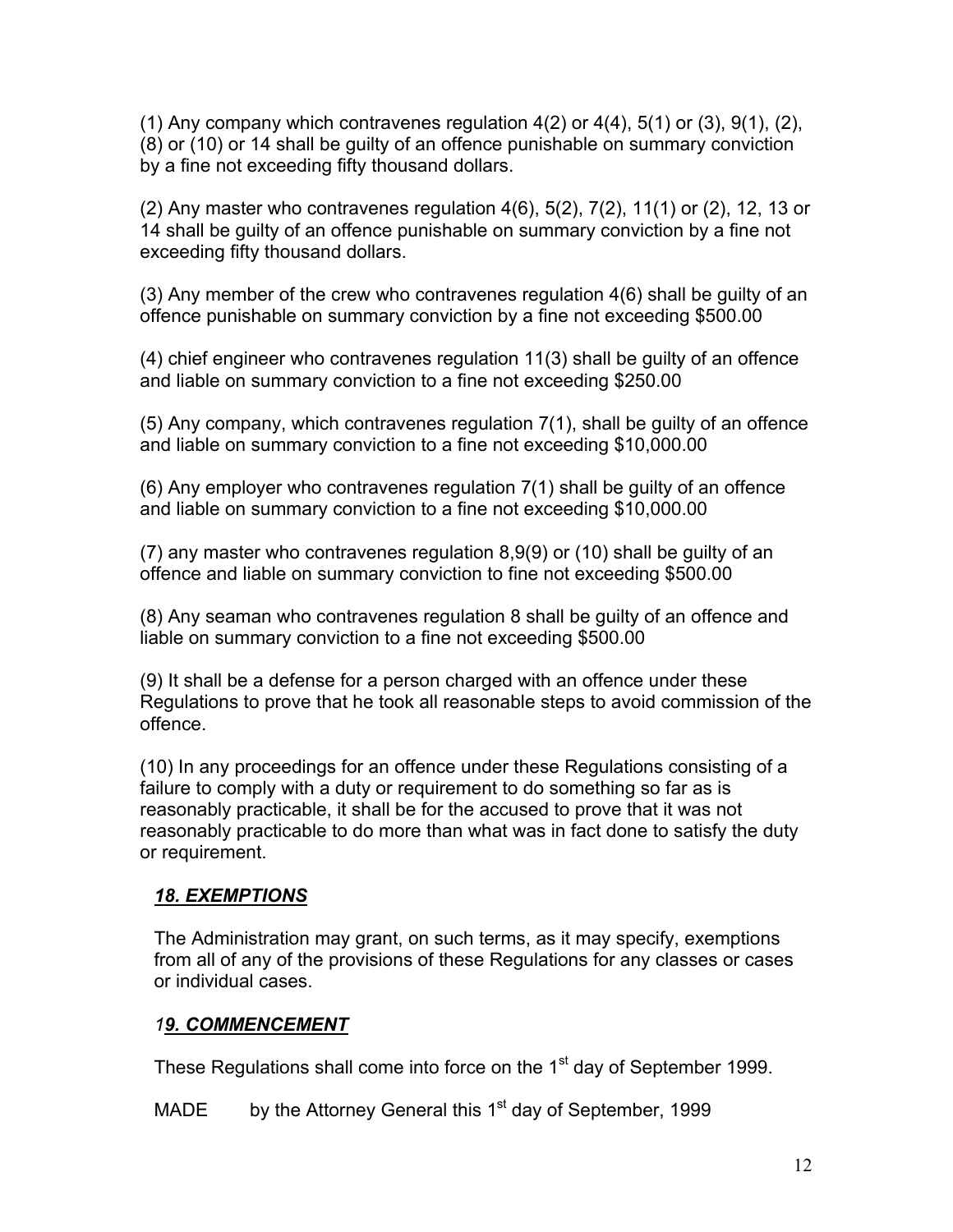$(1)$  Any company which contravenes regulation  $4(2)$  or  $4(4)$ ,  $5(1)$  or  $(3)$ ,  $9(1)$ ,  $(2)$ , (8) or (10) or 14 shall be guilty of an offence punishable on summary conviction by a fine not exceeding fifty thousand dollars.

(2) Any master who contravenes regulation 4(6), 5(2), 7(2), 11(1) or (2), 12, 13 or 14 shall be guilty of an offence punishable on summary conviction by a fine not exceeding fifty thousand dollars.

(3) Any member of the crew who contravenes regulation 4(6) shall be guilty of an offence punishable on summary conviction by a fine not exceeding \$500.00

(4) chief engineer who contravenes regulation 11(3) shall be guilty of an offence and liable on summary conviction to a fine not exceeding \$250.00

(5) Any company, which contravenes regulation 7(1), shall be guilty of an offence and liable on summary conviction to a fine not exceeding \$10,000.00

(6) Any employer who contravenes regulation 7(1) shall be guilty of an offence and liable on summary conviction to a fine not exceeding \$10,000.00

(7) any master who contravenes regulation 8,9(9) or (10) shall be guilty of an offence and liable on summary conviction to fine not exceeding \$500.00

(8) Any seaman who contravenes regulation 8 shall be guilty of an offence and liable on summary conviction to a fine not exceeding \$500.00

(9) It shall be a defense for a person charged with an offence under these Regulations to prove that he took all reasonable steps to avoid commission of the offence.

(10) In any proceedings for an offence under these Regulations consisting of a failure to comply with a duty or requirement to do something so far as is reasonably practicable, it shall be for the accused to prove that it was not reasonably practicable to do more than what was in fact done to satisfy the duty or requirement.

## *18. EXEMPTIONS*

The Administration may grant, on such terms, as it may specify, exemptions from all of any of the provisions of these Regulations for any classes or cases or individual cases.

#### *19. COMMENCEMENT*

These Regulations shall come into force on the 1<sup>st</sup> day of September 1999.

MADE by the Attorney General this  $1<sup>st</sup>$  day of September, 1999